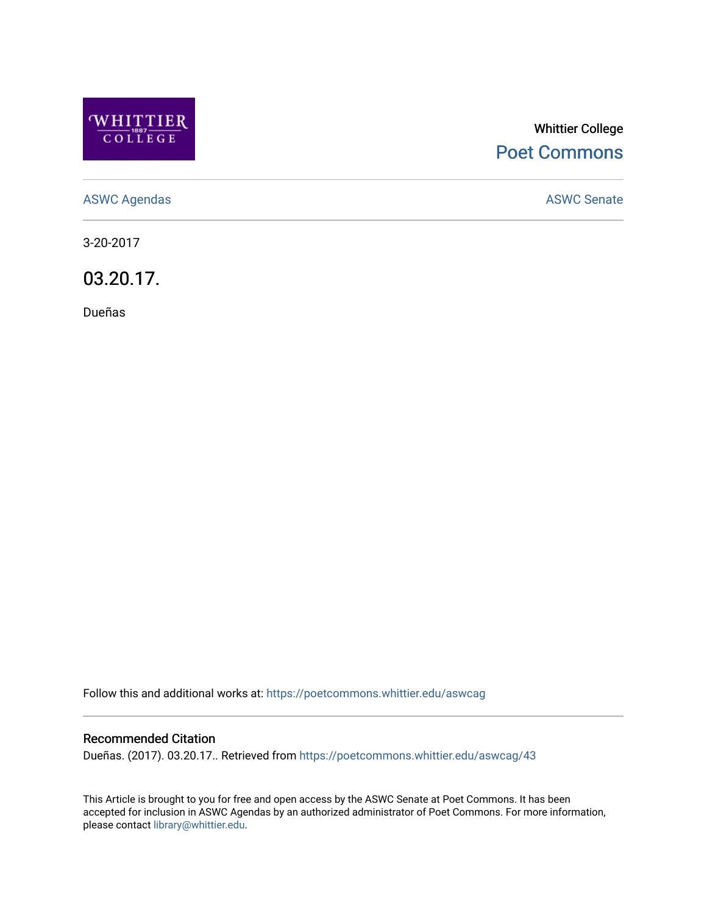

# Whittier College [Poet Commons](https://poetcommons.whittier.edu/)

[ASWC Agendas](https://poetcommons.whittier.edu/aswcag) **ASWC Senate** 

3-20-2017

03.20.17.

Dueñas

Follow this and additional works at: [https://poetcommons.whittier.edu/aswcag](https://poetcommons.whittier.edu/aswcag?utm_source=poetcommons.whittier.edu%2Faswcag%2F43&utm_medium=PDF&utm_campaign=PDFCoverPages) 

# Recommended Citation

Dueñas. (2017). 03.20.17.. Retrieved from [https://poetcommons.whittier.edu/aswcag/43](https://poetcommons.whittier.edu/aswcag/43?utm_source=poetcommons.whittier.edu%2Faswcag%2F43&utm_medium=PDF&utm_campaign=PDFCoverPages) 

This Article is brought to you for free and open access by the ASWC Senate at Poet Commons. It has been accepted for inclusion in ASWC Agendas by an authorized administrator of Poet Commons. For more information, please contact [library@whittier.edu](mailto:library@whittier.edu).